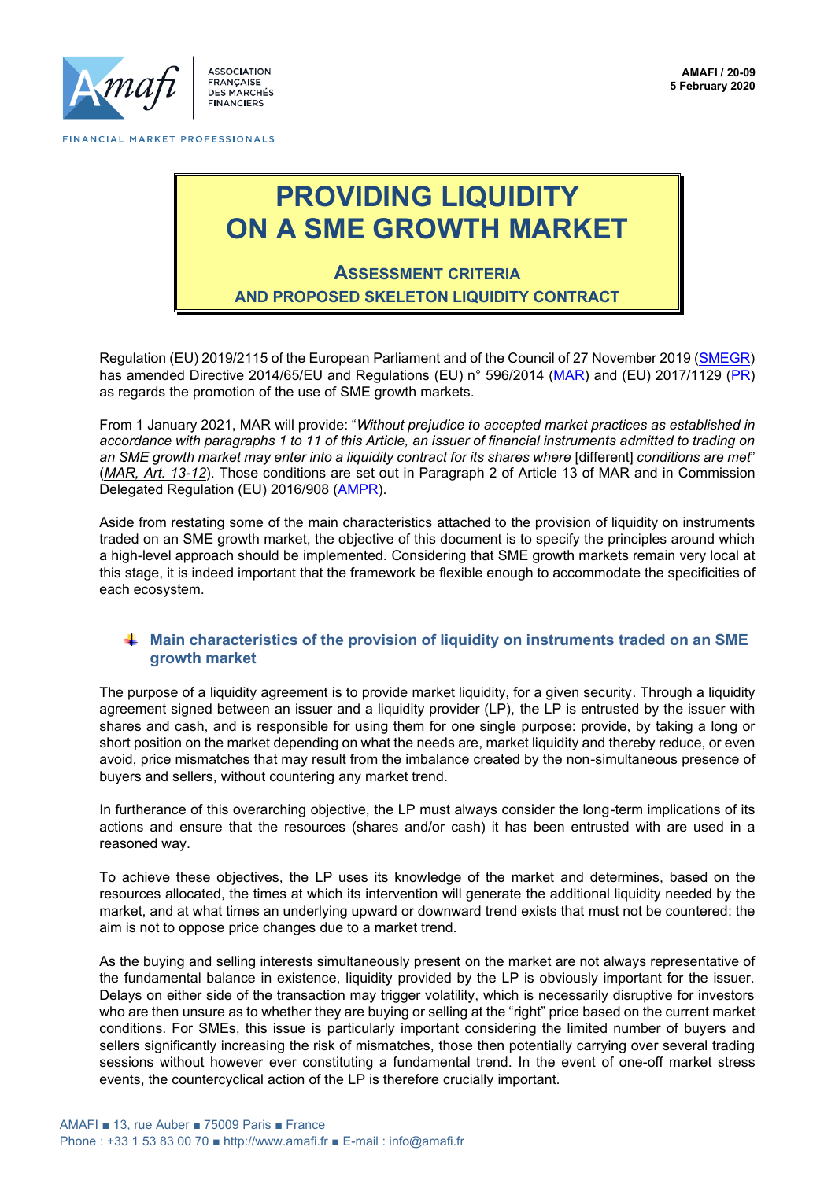

**ASSOCIATION** FRANÇAISE<br>DES MARCHÉS **FINANCIERS** 

## **PROVIDING LIQUIDITY ON A SME GROWTH MARKET**

## **ASSESSMENT CRITERIA AND PROPOSED SKELETON LIQUIDITY CONTRACT**

Regulation (EU) 2019/2115 of the European Parliament and of the Council of 27 November 2019 [\(SMEGR\)](https://eur-lex.europa.eu/legal-content/EN/TXT/HTML/?uri=CELEX:32019R2115&from=FR) has amended Directive 2014/65/EU and Regulations (EU) n° 596/2014 [\(MAR\)](https://eur-lex.europa.eu/legal-content/EN/TXT/HTML/?uri=CELEX:32014R0596&from=FR) and (EU) 2017/1129 [\(PR\)](https://eur-lex.europa.eu/legal-content/EN/TXT/?uri=CELEX%3A32017R1129) as regards the promotion of the use of SME growth markets.

From 1 January 2021, MAR will provide: "*Without prejudice to accepted market practices as established in accordance with paragraphs 1 to 11 of this Article, an issuer of financial instruments admitted to trading on an SME growth market may enter into a liquidity contract for its shares where* [different] *conditions are met*" (*MAR, Art. 13-12*). Those conditions are set out in Paragraph 2 of Article 13 of MAR and in Commission Delegated Regulation (EU) 2016/908 [\(AMPR\)](https://eur-lex.europa.eu/legal-content/EN/TXT/HTML/?uri=CELEX:32016R0908&from=FR).

Aside from restating some of the main characteristics attached to the provision of liquidity on instruments traded on an SME growth market, the objective of this document is to specify the principles around which a high-level approach should be implemented. Considering that SME growth markets remain very local at this stage, it is indeed important that the framework be flexible enough to accommodate the specificities of each ecosystem.

## **Main characteristics of the provision of liquidity on instruments traded on an SME growth market**

The purpose of a liquidity agreement is to provide market liquidity, for a given security. Through a liquidity agreement signed between an issuer and a liquidity provider (LP), the LP is entrusted by the issuer with shares and cash, and is responsible for using them for one single purpose: provide, by taking a long or short position on the market depending on what the needs are, market liquidity and thereby reduce, or even avoid, price mismatches that may result from the imbalance created by the non-simultaneous presence of buyers and sellers, without countering any market trend.

In furtherance of this overarching objective, the LP must always consider the long-term implications of its actions and ensure that the resources (shares and/or cash) it has been entrusted with are used in a reasoned way.

To achieve these objectives, the LP uses its knowledge of the market and determines, based on the resources allocated, the times at which its intervention will generate the additional liquidity needed by the market, and at what times an underlying upward or downward trend exists that must not be countered: the aim is not to oppose price changes due to a market trend.

As the buying and selling interests simultaneously present on the market are not always representative of the fundamental balance in existence, liquidity provided by the LP is obviously important for the issuer. Delays on either side of the transaction may trigger volatility, which is necessarily disruptive for investors who are then unsure as to whether they are buying or selling at the "right" price based on the current market conditions. For SMEs, this issue is particularly important considering the limited number of buyers and sellers significantly increasing the risk of mismatches, those then potentially carrying over several trading sessions without however ever constituting a fundamental trend. In the event of one-off market stress events, the countercyclical action of the LP is therefore crucially important.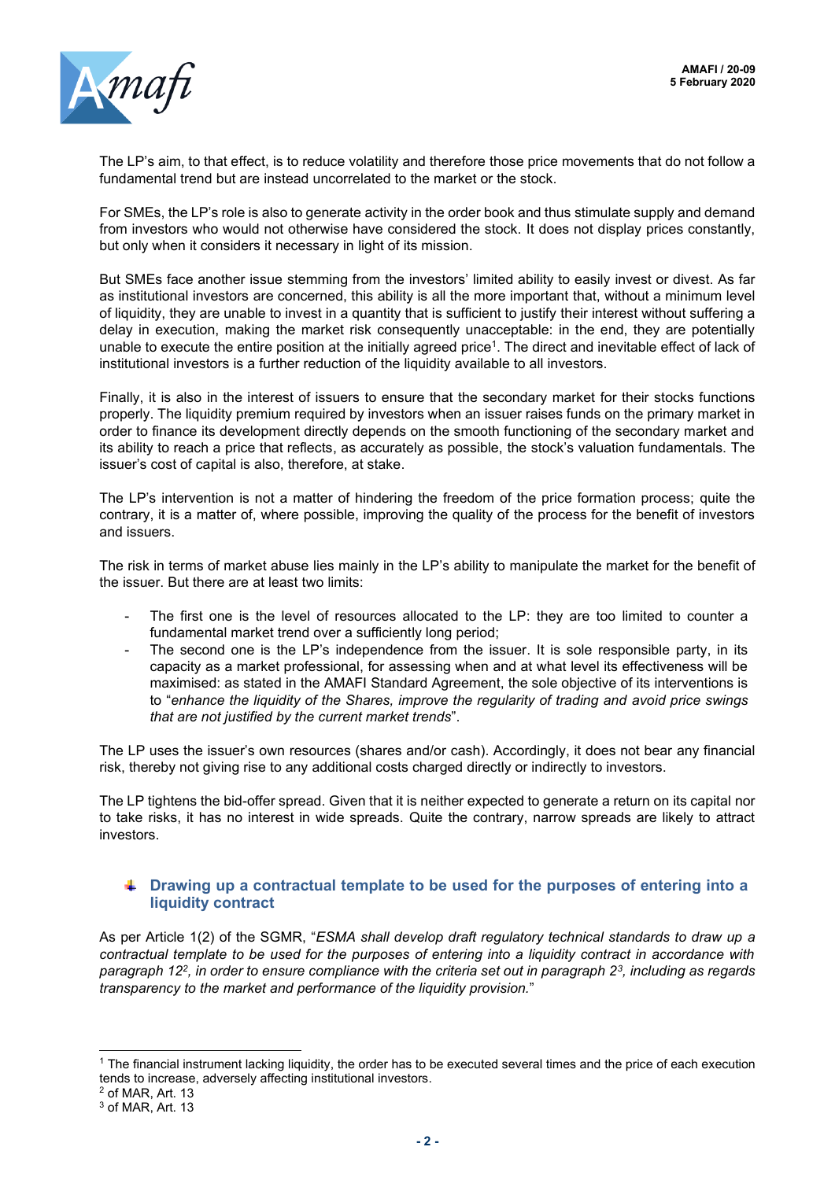

The LP's aim, to that effect, is to reduce volatility and therefore those price movements that do not follow a fundamental trend but are instead uncorrelated to the market or the stock.

For SMEs, the LP's role is also to generate activity in the order book and thus stimulate supply and demand from investors who would not otherwise have considered the stock. It does not display prices constantly, but only when it considers it necessary in light of its mission.

But SMEs face another issue stemming from the investors' limited ability to easily invest or divest. As far as institutional investors are concerned, this ability is all the more important that, without a minimum level of liquidity, they are unable to invest in a quantity that is sufficient to justify their interest without suffering a delay in execution, making the market risk consequently unacceptable: in the end, they are potentially unable to execute the entire position at the initially agreed price<sup>1</sup>. The direct and inevitable effect of lack of institutional investors is a further reduction of the liquidity available to all investors.

Finally, it is also in the interest of issuers to ensure that the secondary market for their stocks functions properly. The liquidity premium required by investors when an issuer raises funds on the primary market in order to finance its development directly depends on the smooth functioning of the secondary market and its ability to reach a price that reflects, as accurately as possible, the stock's valuation fundamentals. The issuer's cost of capital is also, therefore, at stake.

The LP's intervention is not a matter of hindering the freedom of the price formation process; quite the contrary, it is a matter of, where possible, improving the quality of the process for the benefit of investors and issuers.

The risk in terms of market abuse lies mainly in the LP's ability to manipulate the market for the benefit of the issuer. But there are at least two limits:

- The first one is the level of resources allocated to the LP: they are too limited to counter a fundamental market trend over a sufficiently long period;
- The second one is the LP's independence from the issuer. It is sole responsible party, in its capacity as a market professional, for assessing when and at what level its effectiveness will be maximised: as stated in the AMAFI Standard Agreement, the sole objective of its interventions is to "*enhance the liquidity of the Shares, improve the regularity of trading and avoid price swings that are not justified by the current market trends*".

The LP uses the issuer's own resources (shares and/or cash). Accordingly, it does not bear any financial risk, thereby not giving rise to any additional costs charged directly or indirectly to investors.

The LP tightens the bid-offer spread. Given that it is neither expected to generate a return on its capital nor to take risks, it has no interest in wide spreads. Quite the contrary, narrow spreads are likely to attract investors.

## **Example 1** Drawing up a contractual template to be used for the purposes of entering into a **liquidity contract**

As per Article 1(2) of the SGMR, "*ESMA shall develop draft regulatory technical standards to draw up a contractual template to be used for the purposes of entering into a liquidity contract in accordance with paragraph 12<sup>2</sup> , in order to ensure compliance with the criteria set out in paragraph 2<sup>3</sup> , including as regards transparency to the market and performance of the liquidity provision.*"

<sup>1</sup> The financial instrument lacking liquidity, the order has to be executed several times and the price of each execution tends to increase, adversely affecting institutional investors.

<sup>2</sup> of MAR, Art. 13

<sup>3</sup> of MAR, Art. 13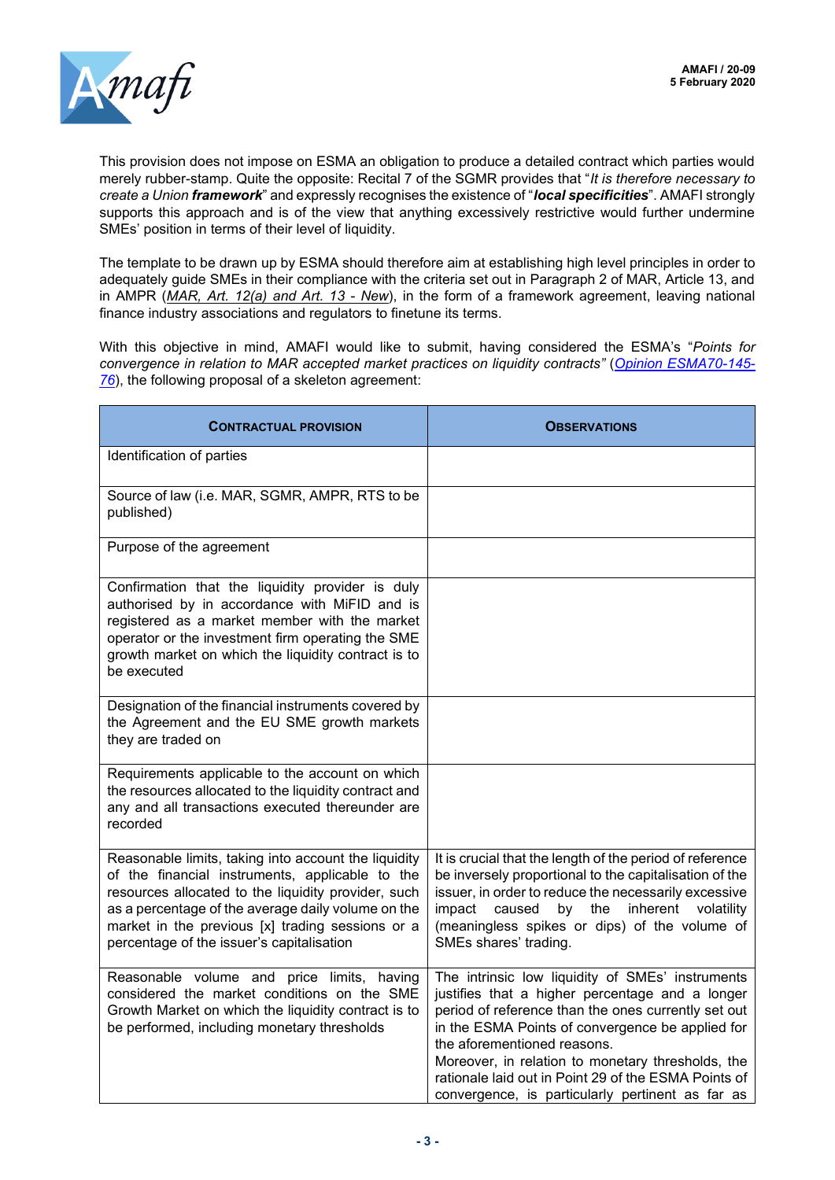

This provision does not impose on ESMA an obligation to produce a detailed contract which parties would merely rubber-stamp. Quite the opposite: Recital 7 of the SGMR provides that "*It is therefore necessary to create a Union framework*" and expressly recognises the existence of "*local specificities*". AMAFI strongly supports this approach and is of the view that anything excessively restrictive would further undermine SMEs' position in terms of their level of liquidity.

The template to be drawn up by ESMA should therefore aim at establishing high level principles in order to adequately guide SMEs in their compliance with the criteria set out in Paragraph 2 of MAR, Article 13, and in AMPR (*MAR, Art. 12(a) and Art. 13 - New*), in the form of a framework agreement, leaving national finance industry associations and regulators to finetune its terms.

With this objective in mind, AMAFI would like to submit, having considered the ESMA's "*Points for convergence in relation to MAR accepted market practices on liquidity contracts"* (*[Opinion ESMA70-145-](https://www.esma.europa.eu/sites/default/files/library/esma70-145-76_opinion_on_point_of_convergence_of_liquidity_contract_amps.pdf) [76](https://www.esma.europa.eu/sites/default/files/library/esma70-145-76_opinion_on_point_of_convergence_of_liquidity_contract_amps.pdf)*), the following proposal of a skeleton agreement:

| <b>CONTRACTUAL PROVISION</b>                                                                                                                                                                                                                                                                                          | <b>OBSERVATIONS</b>                                                                                                                                                                                                                                                                                                                                                                                            |
|-----------------------------------------------------------------------------------------------------------------------------------------------------------------------------------------------------------------------------------------------------------------------------------------------------------------------|----------------------------------------------------------------------------------------------------------------------------------------------------------------------------------------------------------------------------------------------------------------------------------------------------------------------------------------------------------------------------------------------------------------|
| Identification of parties                                                                                                                                                                                                                                                                                             |                                                                                                                                                                                                                                                                                                                                                                                                                |
| Source of law (i.e. MAR, SGMR, AMPR, RTS to be<br>published)                                                                                                                                                                                                                                                          |                                                                                                                                                                                                                                                                                                                                                                                                                |
| Purpose of the agreement                                                                                                                                                                                                                                                                                              |                                                                                                                                                                                                                                                                                                                                                                                                                |
| Confirmation that the liquidity provider is duly<br>authorised by in accordance with MiFID and is<br>registered as a market member with the market<br>operator or the investment firm operating the SME<br>growth market on which the liquidity contract is to<br>be executed                                         |                                                                                                                                                                                                                                                                                                                                                                                                                |
| Designation of the financial instruments covered by<br>the Agreement and the EU SME growth markets<br>they are traded on                                                                                                                                                                                              |                                                                                                                                                                                                                                                                                                                                                                                                                |
| Requirements applicable to the account on which<br>the resources allocated to the liquidity contract and<br>any and all transactions executed thereunder are<br>recorded                                                                                                                                              |                                                                                                                                                                                                                                                                                                                                                                                                                |
| Reasonable limits, taking into account the liquidity<br>of the financial instruments, applicable to the<br>resources allocated to the liquidity provider, such<br>as a percentage of the average daily volume on the<br>market in the previous [x] trading sessions or a<br>percentage of the issuer's capitalisation | It is crucial that the length of the period of reference<br>be inversely proportional to the capitalisation of the<br>issuer, in order to reduce the necessarily excessive<br>impact<br>caused<br>by<br>the<br>inherent<br>volatility<br>(meaningless spikes or dips) of the volume of<br>SMEs shares' trading.                                                                                                |
| Reasonable volume and price limits, having<br>considered the market conditions on the SME<br>Growth Market on which the liquidity contract is to<br>be performed, including monetary thresholds                                                                                                                       | The intrinsic low liquidity of SMEs' instruments<br>justifies that a higher percentage and a longer<br>period of reference than the ones currently set out<br>in the ESMA Points of convergence be applied for<br>the aforementioned reasons.<br>Moreover, in relation to monetary thresholds, the<br>rationale laid out in Point 29 of the ESMA Points of<br>convergence, is particularly pertinent as far as |